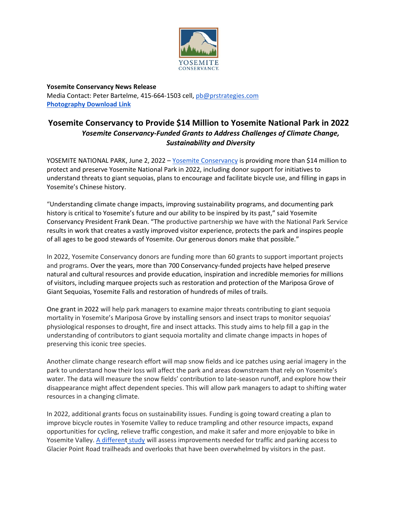

**Yosemite Conservancy News Release** Media Contact: Peter Bartelme, 415-664-1503 cell, [pb@prstrategies.com](mailto:pb@prstrategies.com) **[Photography Download Link](https://drive.google.com/drive/folders/1FE5ZEJ79hwzo-awfIFBMok_74lcpoozU?usp=sharing)**

## **Yosemite Conservancy to Provide \$14 Million to Yosemite National Park in 2022** *Yosemite Conservancy-Funded Grants to Address Challenges of Climate Change, Sustainability and Diversity*

YOSEMITE NATIONAL PARK, June 2, 2022 - [Yosemite Conservancy](http://www.yosemite.org/) is providing more than \$14 million to protect and preserve Yosemite National Park in 2022, including donor support for initiatives to understand threats to giant sequoias, plans to encourage and facilitate bicycle use, and filling in gaps in Yosemite's Chinese history.

"Understanding climate change impacts, improving sustainability programs, and documenting park history is critical to Yosemite's future and our ability to be inspired by its past," said Yosemite Conservancy President Frank Dean. "The productive partnership we have with the National Park Service results in work that creates a vastly improved visitor experience, protects the park and inspires people of all ages to be good stewards of Yosemite. Our generous donors make that possible."

In 2022, Yosemite Conservancy donors are funding more than 60 grants to support important projects and programs. Over the years, more than 700 Conservancy-funded projects have helped preserve natural and cultural resources and provide education, inspiration and incredible memories for millions of visitors, including marquee projects such as restoration and protection of the Mariposa Grove of Giant Sequoias, Yosemite Falls and restoration of hundreds of miles of trails.

One grant in 2022 will help park managers to examine major threats contributing to giant sequoia mortality in Yosemite's Mariposa Grove by installing sensors and insect traps to monitor sequoias' physiological responses to drought, fire and insect attacks. This study aims to help fill a gap in the understanding of contributors to giant sequoia mortality and climate change impacts in hopes of preserving this iconic tree species.

Another climate change research effort will map snow fields and ice patches using aerial imagery in the park to understand how their loss will affect the park and areas downstream that rely on Yosemite's water. The data will measure the snow fields' contribution to late-season runoff, and explore how their disappearance might affect dependent species. This will allow park managers to adapt to shifting water resources in a changing climate.

In 2022, additional grants focus on sustainability issues. Funding is going toward creating a plan to improve bicycle routes in Yosemite Valley to reduce trampling and other resource impacts, expand opportunities for cycling, relieve traffic congestion, and make it safer and more enjoyable to bike in Yosemite Valley. [A different](https://yosemite.org/projects/managing-traffic-to-glacier-point-2022/) [study](https://yosemite.org/projects/managing-traffic-to-glacier-point-2022/) will assess improvements needed for traffic and parking access to Glacier Point Road trailheads and overlooks that have been overwhelmed by visitors in the past.